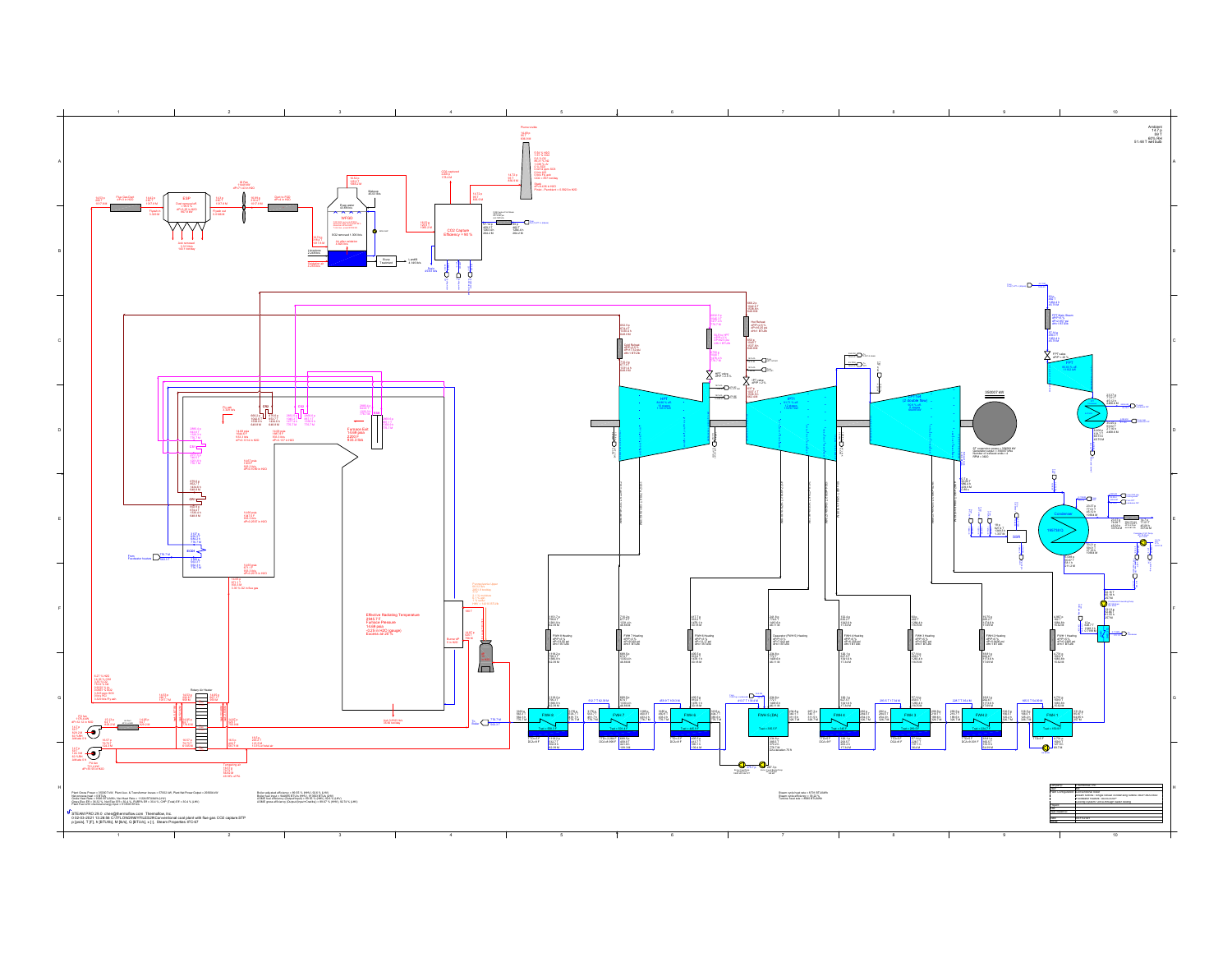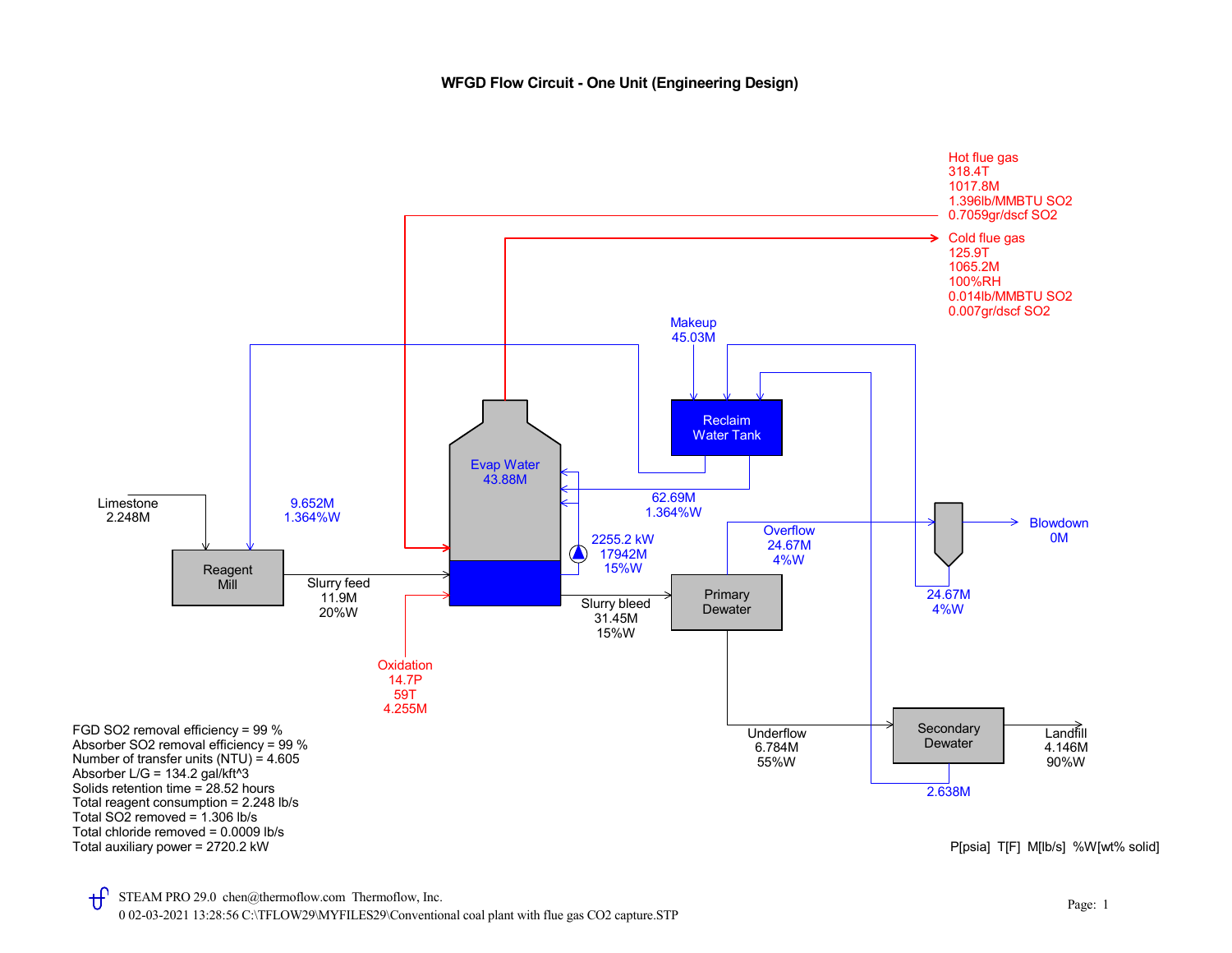## WFGD Flow Circuit - One Unit (Engineering Design)

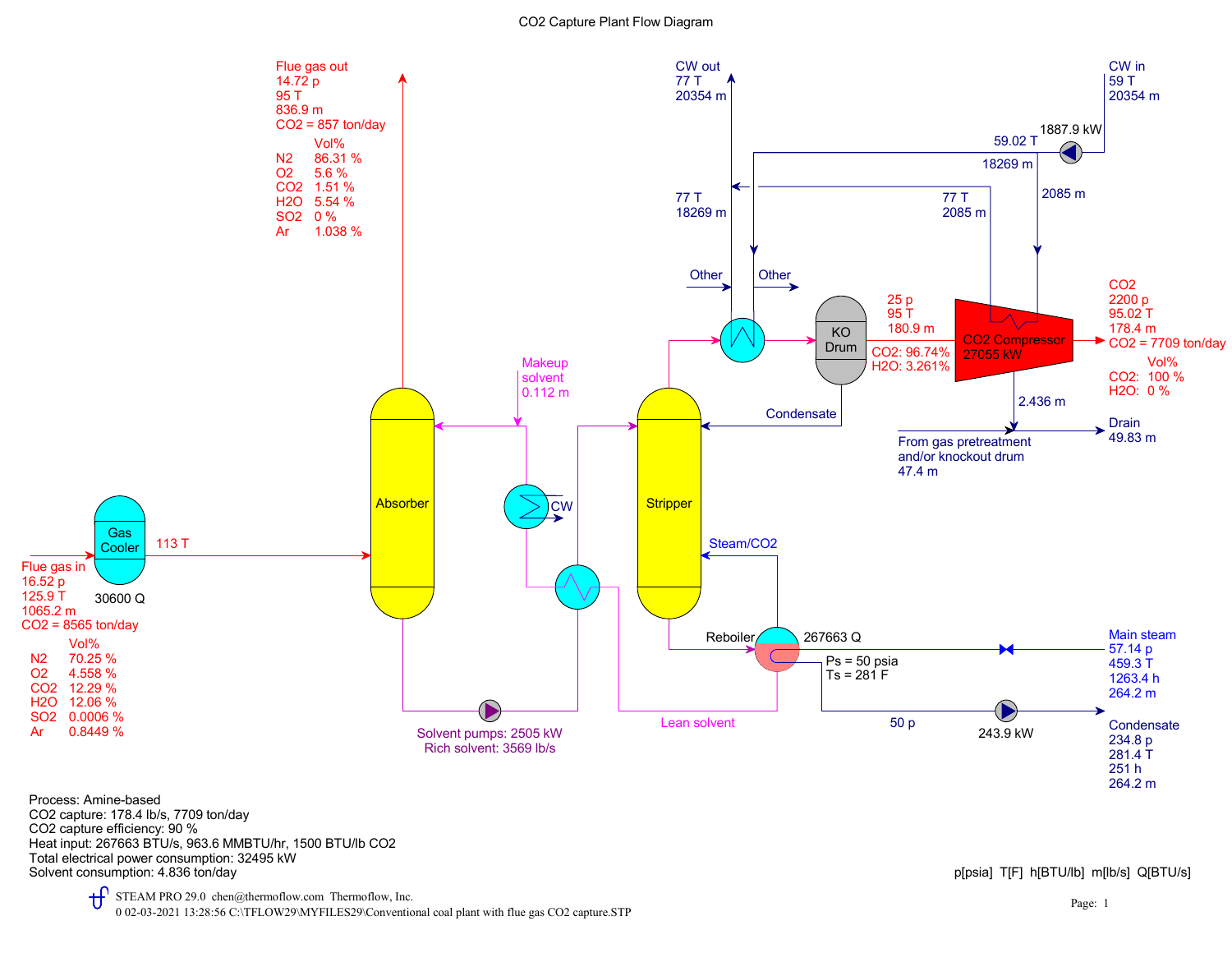

Solvent consumption: 4.836 ton/day **per consumption: 4.836 ton/day** part of the consumption: 4.836 ton/day and the consumption: 4.836 ton/day Total electrical power consumption: 32495 kW Heat input: 267663 BTU/s, 963.6 MMBTU/hr, 1500 BTU/lb CO2 CO2 capture efficiency: 90 % CO2 capture: 178.4 lb/s, 7709 ton/day Process: Amine-based

 $\mathbf{f}$ STEAM PRO 29.0 chen@thermoflow.com Thermoflow, Inc. 0 02-03-2021 13:28:56 C:\TFLOW29\MYFILES29\Conventional coal plant with flue gas CO2 capture.STP